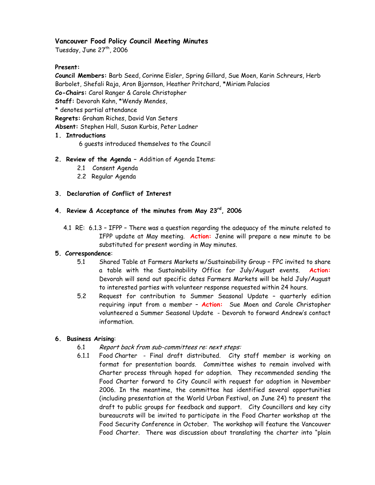# **Vancouver Food Policy Council Meeting Minutes**

Tuesday, June  $27<sup>th</sup>$ , 2006

# **Present:**

**Council Members:** Barb Seed, Corinne Eisler, Spring Gillard, Sue Moen, Karin Schreurs, Herb Barbolet, Shefali Raja, Aron Bjornson, Heather Pritchard, \*Miriam Palacios **Co-Chairs:** Carol Ranger & Carole Christopher

**Staff:** Devorah Kahn, \*Wendy Mendes,

\* denotes partial attendance

**Regrets:** Graham Riches, David Van Seters

**Absent:** Stephen Hall, Susan Kurbis, Peter Ladner

## **1. Introductions**

6 guests introduced themselves to the Council

## **2. Review of the Agenda –** Addition of Agenda Items:

- 2.1 Consent Agenda
- 2.2 Regular Agenda

## **3. Declaration of Conflict of Interest**

# **4. Review & Acceptance of the minutes from May 23rd, 2006**

 4.1 RE: 6.1.3 – IFPP – There was a question regarding the adequacy of the minute related to IFPP update at May meeting. **Action:** Jenine will prepare a new minute to be substituted for present wording in May minutes.

#### **5. Correspondence**:

- 5.1 Shared Table at Farmers Markets w/Sustainability Group FPC invited to share a table with the Sustainability Office for July/August events. **Action:**  Devorah will send out specific dates Farmers Markets will be held July/August to interested parties with volunteer response requested within 24 hours.
- 5.2 Request for contribution to Summer Seasonal Update quarterly edition requiring input from a member – **Action:** Sue Moen and Carole Christopher volunteered a Summer Seasonal Update - Devorah to forward Andrew's contact information.

## **6. Business Arising**:

- 6.1 Report back from sub-committees re: next steps:
- 6.1.1 Food Charter Final draft distributed. City staff member is working on format for presentation boards. Committee wishes to remain involved with Charter process through hoped for adoption. They recommended sending the Food Charter forward to City Council with request for adoption in November 2006. In the meantime, the committee has identified several opportunities (including presentation at the World Urban Festival, on June 24) to present the draft to public groups for feedback and support. City Councillors and key city bureaucrats will be invited to participate in the Food Charter workshop at the Food Security Conference in October. The workshop will feature the Vancouver Food Charter. There was discussion about translating the charter into "plain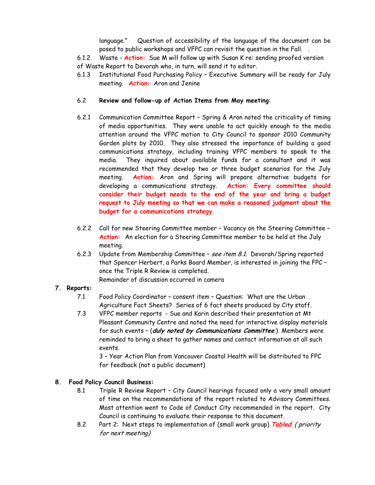language." Question of accessibility of the language of the document can be posed to public workshops and VFPC can revisit the question in the Fall. .

 6.1.2 Waste - **Action:** Sue M will follow up with Susan K re: sending proofed version of Waste Report to Devorah who, in turn, will send it to editor.

6.1.3 Institutional Food Purchasing Policy – Executive Summary will be ready for July meeting. **Action:** Aron and Jenine

## 6.2 **Review and follow-up of Action Items from May meeting**:

- 6.2.1 Communication Committee Report Spring & Aron noted the criticality of timing of media opportunities. They were unable to act quickly enough to the media attention around the VFPC motion to City Council to sponsor 2010 Community Garden plots by 2010. They also stressed the importance of building a good communications strategy, including training VFPC members to speak to the media. They inquired about available funds for a consultant and it was recommended that they develop two or three budget scenarios for the July meeting. **Action:** Aron and Spring will prepare alternative budgets for developing a communications strategy. **Action: Every committee should consider their budget needs to the end of the year and bring a budget request to July meeting so that we can make a reasoned judgment about the budget for a communications strategy.**
- 6.2.2 Call for new Steering Committee member Vacancy on the Steering Committee **Action:** An election for a Steering Committee member to be held at the July meeting.
- 6.2.3 Update from Membership Committee see item 8.1. Devorah/Spring reported that Spencer Herbert, a Parks Board Member, is interested in joining the FPC – once the Triple R Review is completed. Remainder of discussion occurred in camera

## **7. Reports:**

- 7.1 Food Policy Coordinator consent item Question: What are the Urban Agriculture Fact Sheets? Series of 6 fact sheets produced by City staff.
- 7.3 VFPC member reports Sue and Karin described their presentation at Mt Pleasant Community Centre and noted the need for interactive display materials for such events – (**duly noted by Communications Committee**.) Members were reminded to bring a sheet to gather names and contact information at all such events.

3 – Year Action Plan from Vancouver Coastal Health will be distributed to FPC for feedback (not a public document)

## **8. Food Policy Council Business:**

- 8.1 Triple R Review Report City Council hearings focused only a very small amount of time on the recommendations of the report related to Advisory Committees. Most attention went to Code of Conduct City recommended in the report. City Council is continuing to evaluate their response to this document.
- 8.2 Part 2: Next steps to implementation of (small work group) **Tabled**. ( priority for next meeting)